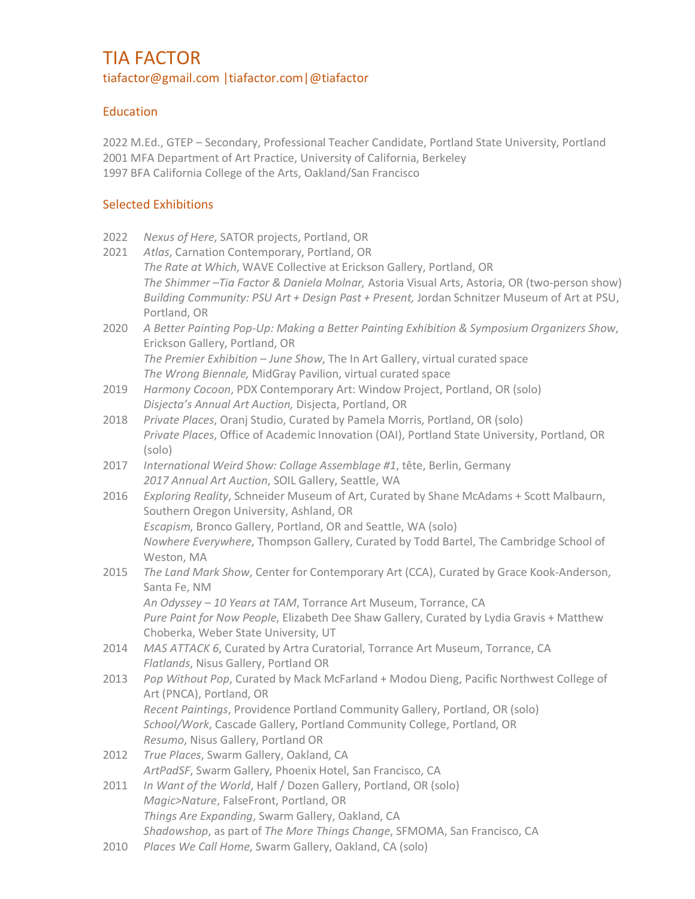# TIA FACTOR tiafactor@gmail.com |tiafactor.com|@tiafactor

## **Education**

2022 M.Ed., GTEP – Secondary, Professional Teacher Candidate, Portland State University, Portland 2001 MFA Department of Art Practice, University of California, Berkeley 1997 BFA California College of the Arts, Oakland/San Francisco

## Selected Exhibitions

- 2022 *Nexus of Here*, SATOR projects, Portland, OR
- 2021 *Atlas*, Carnation Contemporary, Portland, OR *The Rate at Which*, WAVE Collective at Erickson Gallery, Portland, OR *The Shimmer –Tia Factor & Daniela Molnar,* Astoria Visual Arts, Astoria, OR (two-person show) *Building Community: PSU Art + Design Past + Present,* Jordan Schnitzer Museum of Art at PSU, Portland, OR
- 2020 *A Better Painting Pop-Up: Making a Better Painting Exhibition & Symposium Organizers Show*, Erickson Gallery, Portland, OR *The Premier Exhibition – June Show*, The In Art Gallery, virtual curated space *The Wrong Biennale,* MidGray Pavilion, virtual curated space
- 2019 *Harmony Cocoon*, PDX Contemporary Art: Window Project, Portland, OR (solo) *Disjecta's Annual Art Auction,* Disjecta, Portland, OR
- 2018 *Private Places*, Oranj Studio, Curated by Pamela Morris, Portland, OR (solo) *Private Places*, Office of Academic Innovation (OAI), Portland State University, Portland, OR (solo)
- 2017 *International Weird Show: Collage Assemblage #1*, tête, Berlin, Germany *2017 Annual Art Auction*, SOIL Gallery, Seattle, WA
- 2016 *Exploring Reality*, Schneider Museum of Art, Curated by Shane McAdams + Scott Malbaurn, Southern Oregon University, Ashland, OR *Escapism*, Bronco Gallery, Portland, OR and Seattle, WA (solo) *Nowhere Everywhere*, Thompson Gallery, Curated by Todd Bartel, The Cambridge School of Weston, MA
- 2015 *The Land Mark Show*, Center for Contemporary Art (CCA), Curated by Grace Kook-Anderson, Santa Fe, NM *An Odyssey – 10 Years at TAM*, Torrance Art Museum, Torrance, CA *Pure Paint for Now People*, Elizabeth Dee Shaw Gallery, Curated by Lydia Gravis + Matthew Choberka, Weber State University, UT
- 2014 *MAS ATTACK 6*, Curated by Artra Curatorial, Torrance Art Museum, Torrance, CA *Flatlands*, Nisus Gallery, Portland OR
- 2013 *Pop Without Pop*, Curated by Mack McFarland + Modou Dieng, Pacific Northwest College of Art (PNCA), Portland, OR *Recent Paintings*, Providence Portland Community Gallery, Portland, OR (solo) *School/Work*, Cascade Gallery, Portland Community College, Portland, OR *Resumo*, Nisus Gallery, Portland OR
- 2012 *True Places*, Swarm Gallery, Oakland, CA *ArtPadSF*, Swarm Gallery, Phoenix Hotel, San Francisco, CA
- 2011 *In Want of the World*, Half / Dozen Gallery, Portland, OR (solo) *Magic>Nature*, FalseFront, Portland, OR *Things Are Expanding*, Swarm Gallery, Oakland, CA *Shadowshop*, as part of *The More Things Change*, SFMOMA, San Francisco, CA
- 2010 *Places We Call Home*, Swarm Gallery, Oakland, CA (solo)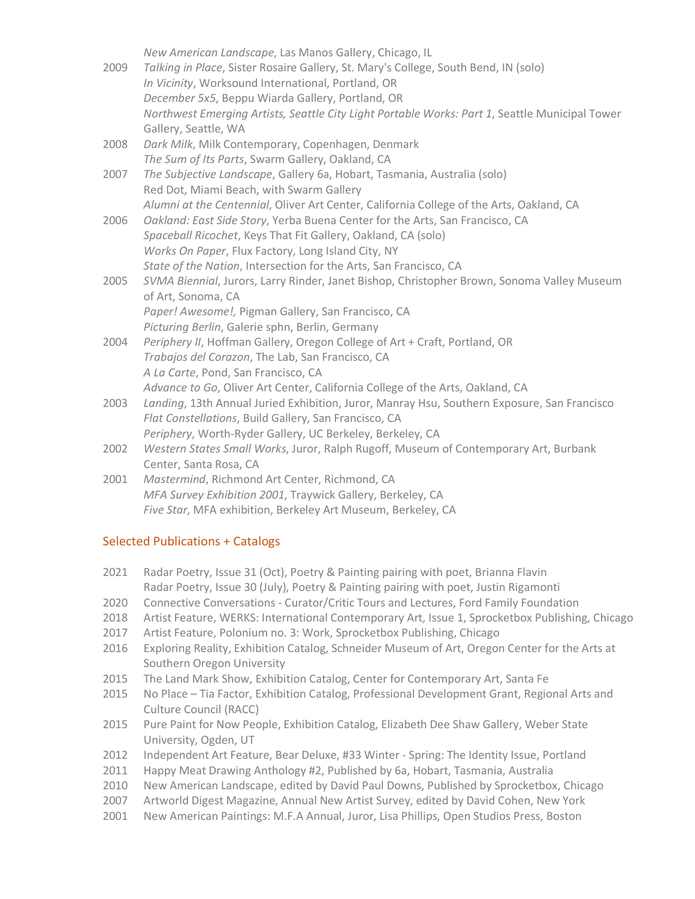| 2009 | New American Landscape, Las Manos Gallery, Chicago, IL<br>Talking in Place, Sister Rosaire Gallery, St. Mary's College, South Bend, IN (solo)<br>In Vicinity, Worksound International, Portland, OR<br>December 5x5, Beppu Wiarda Gallery, Portland, OR<br>Northwest Emerging Artists, Seattle City Light Portable Works: Part 1, Seattle Municipal Tower<br>Gallery, Seattle, WA |
|------|-----------------------------------------------------------------------------------------------------------------------------------------------------------------------------------------------------------------------------------------------------------------------------------------------------------------------------------------------------------------------------------|
| 2008 | Dark Milk, Milk Contemporary, Copenhagen, Denmark<br>The Sum of Its Parts, Swarm Gallery, Oakland, CA                                                                                                                                                                                                                                                                             |
| 2007 | The Subjective Landscape, Gallery 6a, Hobart, Tasmania, Australia (solo)<br>Red Dot, Miami Beach, with Swarm Gallery<br>Alumni at the Centennial, Oliver Art Center, California College of the Arts, Oakland, CA                                                                                                                                                                  |
| 2006 | Oakland: East Side Story, Yerba Buena Center for the Arts, San Francisco, CA<br>Spaceball Ricochet, Keys That Fit Gallery, Oakland, CA (solo)<br>Works On Paper, Flux Factory, Long Island City, NY<br>State of the Nation, Intersection for the Arts, San Francisco, CA                                                                                                          |
| 2005 | SVMA Biennial, Jurors, Larry Rinder, Janet Bishop, Christopher Brown, Sonoma Valley Museum<br>of Art, Sonoma, CA<br>Paper! Awesome!, Pigman Gallery, San Francisco, CA<br>Picturing Berlin, Galerie sphn, Berlin, Germany                                                                                                                                                         |
| 2004 | Periphery II, Hoffman Gallery, Oregon College of Art + Craft, Portland, OR<br>Trabajos del Corazon, The Lab, San Francisco, CA<br>A La Carte, Pond, San Francisco, CA<br>Advance to Go, Oliver Art Center, California College of the Arts, Oakland, CA                                                                                                                            |
| 2003 | Landing, 13th Annual Juried Exhibition, Juror, Manray Hsu, Southern Exposure, San Francisco<br>Flat Constellations, Build Gallery, San Francisco, CA<br>Periphery, Worth-Ryder Gallery, UC Berkeley, Berkeley, CA                                                                                                                                                                 |
| 2002 | Western States Small Works, Juror, Ralph Rugoff, Museum of Contemporary Art, Burbank<br>Center, Santa Rosa, CA                                                                                                                                                                                                                                                                    |
| 2001 | Mastermind, Richmond Art Center, Richmond, CA<br>MFA Survey Exhibition 2001, Traywick Gallery, Berkeley, CA<br>Five Star, MFA exhibition, Berkeley Art Museum, Berkeley, CA                                                                                                                                                                                                       |

### Selected Publications + Catalogs

- 2021 Radar Poetry, Issue 31 (Oct), Poetry & Painting pairing with poet, Brianna Flavin Radar Poetry, Issue 30 (July), Poetry & Painting pairing with poet, Justin Rigamonti
- 2020 Connective Conversations Curator/Critic Tours and Lectures, Ford Family Foundation
- 2018 Artist Feature, WERKS: International Contemporary Art, Issue 1, Sprocketbox Publishing, Chicago
- 2017 Artist Feature, Polonium no. 3: Work, Sprocketbox Publishing, Chicago
- 2016 Exploring Reality, Exhibition Catalog, Schneider Museum of Art, Oregon Center for the Arts at Southern Oregon University
- 2015 The Land Mark Show, Exhibition Catalog, Center for Contemporary Art, Santa Fe
- 2015 No Place Tia Factor, Exhibition Catalog, Professional Development Grant, Regional Arts and Culture Council (RACC)
- 2015 Pure Paint for Now People, Exhibition Catalog, Elizabeth Dee Shaw Gallery, Weber State University, Ogden, UT
- 2012 Independent Art Feature, Bear Deluxe, #33 Winter Spring: The Identity Issue, Portland
- 2011 Happy Meat Drawing Anthology #2, Published by 6a, Hobart, Tasmania, Australia
- 2010 New American Landscape, edited by David Paul Downs, Published by Sprocketbox, Chicago
- 2007 Artworld Digest Magazine, Annual New Artist Survey, edited by David Cohen, New York
- 2001 New American Paintings: M.F.A Annual, Juror, Lisa Phillips, Open Studios Press, Boston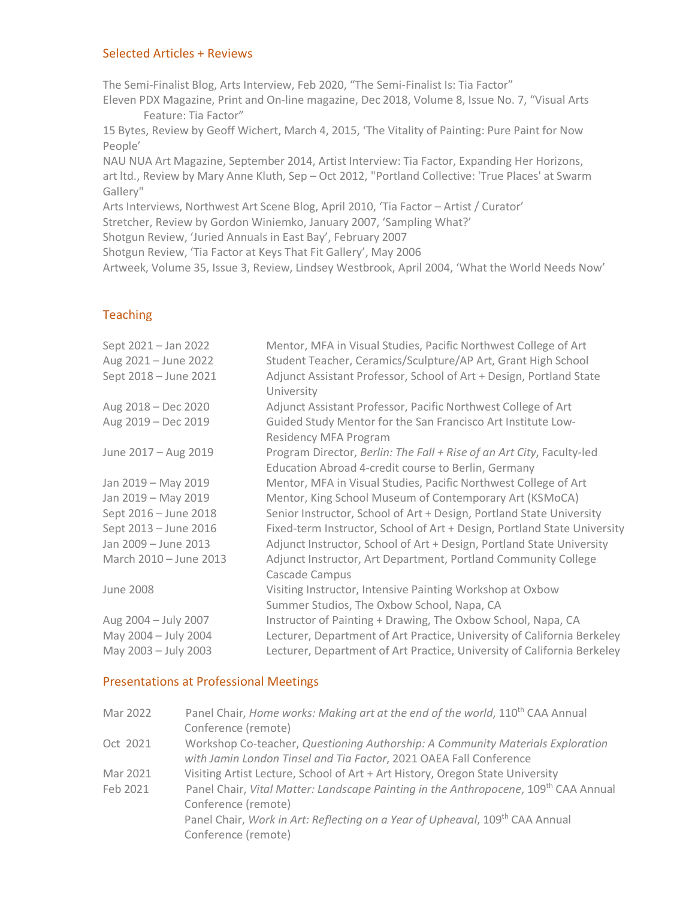#### Selected Articles + Reviews

The Semi-Finalist Blog, Arts Interview, Feb 2020, "The Semi-Finalist Is: Tia Factor"

Eleven PDX Magazine, Print and On-line magazine, Dec 2018, Volume 8, Issue No. 7, "Visual Arts Feature: Tia Factor"

15 Bytes, Review by Geoff Wichert, March 4, 2015, 'The Vitality of Painting: Pure Paint for Now People'

NAU NUA Art Magazine, September 2014, Artist Interview: Tia Factor, Expanding Her Horizons, art ltd., Review by Mary Anne Kluth, Sep – Oct 2012, "Portland Collective: 'True Places' at Swarm Gallery"

Arts Interviews, Northwest Art Scene Blog, April 2010, 'Tia Factor – Artist / Curator'

Stretcher, Review by Gordon Winiemko, January 2007, 'Sampling What?'

Shotgun Review, 'Juried Annuals in East Bay', February 2007

Shotgun Review, 'Tia Factor at Keys That Fit Gallery', May 2006

Artweek, Volume 35, Issue 3, Review, Lindsey Westbrook, April 2004, 'What the World Needs Now'

### **Teaching**

| Sept 2021 - Jan 2022   | Mentor, MFA in Visual Studies, Pacific Northwest College of Art                                                              |
|------------------------|------------------------------------------------------------------------------------------------------------------------------|
| Aug 2021 - June 2022   | Student Teacher, Ceramics/Sculpture/AP Art, Grant High School                                                                |
| Sept 2018 - June 2021  | Adjunct Assistant Professor, School of Art + Design, Portland State<br>University                                            |
| Aug 2018 - Dec 2020    | Adjunct Assistant Professor, Pacific Northwest College of Art                                                                |
| Aug 2019 - Dec 2019    | Guided Study Mentor for the San Francisco Art Institute Low-<br><b>Residency MFA Program</b>                                 |
| June 2017 - Aug 2019   | Program Director, Berlin: The Fall + Rise of an Art City, Faculty-led<br>Education Abroad 4-credit course to Berlin, Germany |
| Jan 2019 - May 2019    | Mentor, MFA in Visual Studies, Pacific Northwest College of Art                                                              |
| Jan 2019 - May 2019    | Mentor, King School Museum of Contemporary Art (KSMoCA)                                                                      |
| Sept 2016 - June 2018  | Senior Instructor, School of Art + Design, Portland State University                                                         |
| Sept 2013 - June 2016  | Fixed-term Instructor, School of Art + Design, Portland State University                                                     |
| Jan 2009 - June 2013   | Adjunct Instructor, School of Art + Design, Portland State University                                                        |
| March 2010 - June 2013 | Adjunct Instructor, Art Department, Portland Community College<br>Cascade Campus                                             |
| <b>June 2008</b>       | Visiting Instructor, Intensive Painting Workshop at Oxbow                                                                    |
|                        | Summer Studios, The Oxbow School, Napa, CA                                                                                   |
| Aug 2004 - July 2007   | Instructor of Painting + Drawing, The Oxbow School, Napa, CA                                                                 |
| May 2004 - July 2004   | Lecturer, Department of Art Practice, University of California Berkeley                                                      |
| May 2003 - July 2003   | Lecturer, Department of Art Practice, University of California Berkeley                                                      |

## Presentations at Professional Meetings

| Mar 2022 | Panel Chair, Home works: Making art at the end of the world, 110 <sup>th</sup> CAA Annual |
|----------|-------------------------------------------------------------------------------------------|
|          | Conference (remote)                                                                       |
| Oct 2021 | Workshop Co-teacher, Questioning Authorship: A Community Materials Exploration            |
|          | with Jamin London Tinsel and Tia Factor, 2021 OAEA Fall Conference                        |
| Mar 2021 | Visiting Artist Lecture, School of Art + Art History, Oregon State University             |
| Feb 2021 | Panel Chair, Vital Matter: Landscape Painting in the Anthropocene, 109th CAA Annual       |
|          | Conference (remote)                                                                       |
|          | Panel Chair, Work in Art: Reflecting on a Year of Upheaval, 109 <sup>th</sup> CAA Annual  |
|          | Conference (remote)                                                                       |